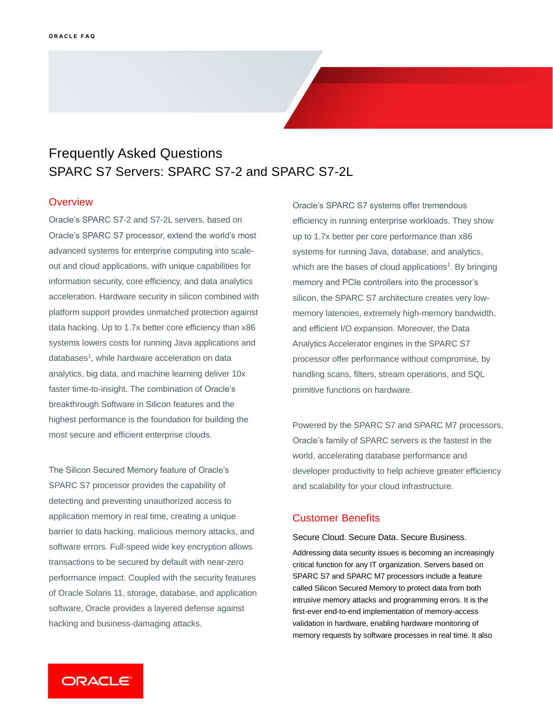# Frequently Asked Questions SPARC S7 Servers: SPARC S7-2 and SPARC S7-2L

### **Overview**

 systems lowers costs for running Java applications and Oracle's SPARC S7-2 and S7-2L servers, based on Oracle's SPARC S7 processor, extend the world's most advanced systems for enterprise computing into scaleout and cloud applications, with unique capabilities for information security, core efficiency, and data analytics acceleration. Hardware security in silicon combined with platform support provides unmatched protection against data hacking. Up to 1.7x better core efficiency than x86 databases<sup>1</sup>, while hardware acceleration on data analytics, big data, and machine learning deliver 10x faster time-to-insight. The combination of Oracle's breakthrough Software in Silicon features and the highest performance is the foundation for building the most secure and efficient enterprise clouds.

 application memory in real time, creating a unique performance impact. Coupled with the security features of Oracle Solaris 11, storage, database, and application The Silicon Secured Memory feature of Oracle's SPARC S7 processor provides the capability of detecting and preventing unauthorized access to barrier to data hacking, malicious memory attacks, and software errors. Full-speed wide key encryption allows transactions to be secured by default with near-zero software, Oracle provides a layered defense against hacking and business-damaging attacks.

 Oracle's SPARC S7 systems offer tremendous efficiency in running enterprise workloads. They show up to 1.7x better per core performance than x86 systems for running Java, database, and analytics, which are the bases of cloud applications<sup>1</sup>. By bringing memory and PCIe controllers into the processor's silicon, the SPARC S7 architecture creates very lowmemory latencies, extremely high-memory bandwidth, and efficient I/O expansion. Moreover, the Data Analytics Accelerator engines in the SPARC S7 processor offer performance without compromise, by handling scans, filters, stream operations, and SQL primitive functions on hardware.

 and scalability for your cloud infrastructure. Powered by the SPARC S7 and SPARC M7 processors, Oracle's family of SPARC servers is the fastest in the world, accelerating database performance and developer productivity to help achieve greater efficiency

## Customer Benefits

Secure Cloud. Secure Data. Secure Business.

 Addressing data security issues is becoming an increasingly critical function for any IT organization. Servers based on SPARC S7 and SPARC M7 processors include a feature called Silicon Secured Memory to protect data from both intrusive memory attacks and programming errors. It is the first-ever end-to-end implementation of memory-access validation in hardware, enabling hardware monitoring of memory requests by software processes in real time. It also

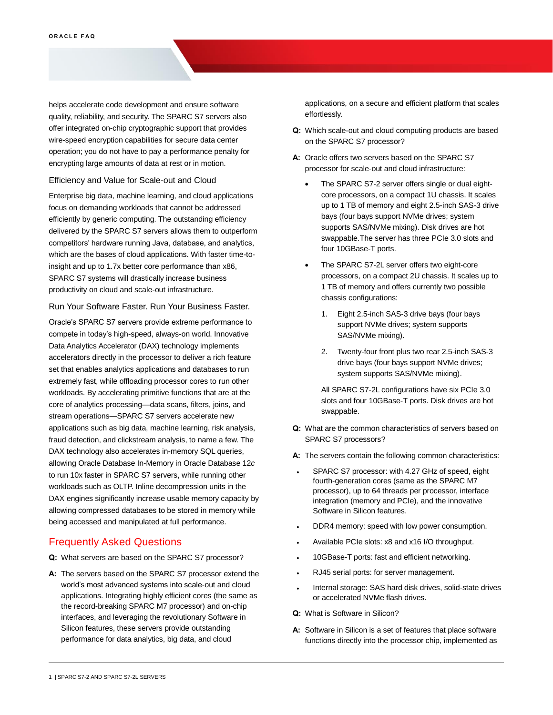helps accelerate code development and ensure software quality, reliability, and security. The SPARC S7 servers also offer integrated on-chip cryptographic support that provides wire-speed encryption capabilities for secure data center operation; you do not have to pay a performance penalty for encrypting large amounts of data at rest or in motion.

#### Efficiency and Value for Scale-out and Cloud

 Enterprise big data, machine learning, and cloud applications focus on demanding workloads that cannot be addressed efficiently by generic computing. The outstanding efficiency delivered by the SPARC S7 servers allows them to outperform competitors' hardware running Java, database, and analytics, which are the bases of cloud applications. With faster time-to- insight and up to 1.7x better core performance than x86, SPARC S7 systems will drastically increase business productivity on cloud and scale-out infrastructure.

#### Run Your Software Faster. Run Your Business Faster.

 Oracle's SPARC S7 servers provide extreme performance to compete in today's high-speed, always-on world. Innovative Data Analytics Accelerator (DAX) technology implements accelerators directly in the processor to deliver a rich feature set that enables analytics applications and databases to run extremely fast, while offloading processor cores to run other workloads. By accelerating primitive functions that are at the core of analytics processing—data scans, filters, joins, and stream operations—SPARC S7 servers accelerate new applications such as big data, machine learning, risk analysis, fraud detection, and clickstream analysis, to name a few. The DAX technology also accelerates in-memory SQL queries, allowing Oracle Database In-Memory in Oracle Database 12*c* to run 10x faster in SPARC S7 servers, while running other workloads such as OLTP. Inline decompression units in the DAX engines significantly increase usable memory capacity by allowing compressed databases to be stored in memory while being accessed and manipulated at full performance.

## Frequently Asked Questions

- **Q:** What servers are based on the SPARC S7 processor?
- **A:** The servers based on the SPARC S7 processor extend the world's most advanced systems into scale-out and cloud applications. Integrating highly efficient cores (the same as the record-breaking SPARC M7 processor) and on-chip interfaces, and leveraging the revolutionary Software in Silicon features, these servers provide outstanding performance for data analytics, big data, and cloud

 applications, on a secure and efficient platform that scales effortlessly.

- **Q:** Which scale-out and cloud computing products are based on the SPARC S7 processor?
- **A:** Oracle offers two servers based on the SPARC S7 processor for scale-out and cloud infrastructure:
	- • The SPARC S7-2 server offers single or dual eight- core processors, on a compact 1U chassis. It scales up to 1 TB of memory and eight 2.5-inch SAS-3 drive bays (four bays support NVMe drives; system supports SAS/NVMe mixing). Disk drives are hot swappable.The server has three PCIe 3.0 slots and four 10GBase-T ports.
	- • The SPARC S7-2L server offers two eight-core processors, on a compact 2U chassis. It scales up to 1 TB of memory and offers currently two possible chassis configurations:
		- 1. Eight 2.5-inch SAS-3 drive bays (four bays support NVMe drives; system supports SAS/NVMe mixing).
		- 2. Twenty-four front plus two rear 2.5-inch SAS-3 drive bays (four bays support NVMe drives; system supports SAS/NVMe mixing).

 All SPARC S7-2L configurations have six PCIe 3.0 slots and four 10GBase-T ports. Disk drives are hot swappable.

- **Q:** What are the common characteristics of servers based on SPARC S7 processors?
- **A:** The servers contain the following common characteristics:
- • SPARC S7 processor: with 4.27 GHz of speed, eight fourth-generation cores (same as the SPARC M7 processor), up to 64 threads per processor, interface integration (memory and PCIe), and the innovative Software in Silicon features.
- DDR4 memory: speed with low power consumption.
- Available PCIe slots: x8 and x16 I/O throughput.
- 10GBase-T ports: fast and efficient networking.
- RJ45 serial ports: for server management.
- • Internal storage: SAS hard disk drives, solid-state drives or accelerated NVMe flash drives.
- **Q:** What is Software in Silicon?
- **A:** Software in Silicon is a set of features that place software functions directly into the processor chip, implemented as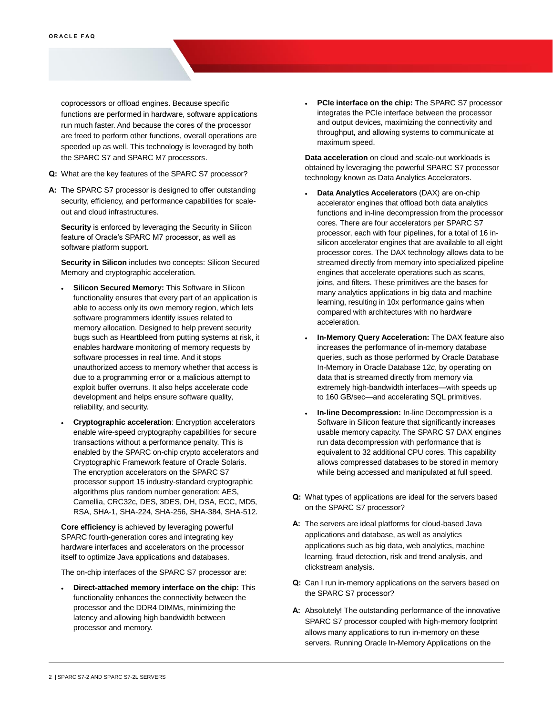coprocessors or offload engines. Because specific functions are performed in hardware, software applications run much faster. And because the cores of the processor are freed to perform other functions, overall operations are speeded up as well. This technology is leveraged by both the SPARC S7 and SPARC M7 processors.

- **Q:** What are the key features of the SPARC S7 processor?
- **A:** The SPARC S7 processor is designed to offer outstanding security, efficiency, and performance capabilities for scale-out and cloud infrastructures.

 **Security** is enforced by leveraging the Security in Silicon feature of Oracle's SPARC M7 processor, as well as software platform support.

 **Security in Silicon** includes two concepts: Silicon Secured Memory and cryptographic acceleration.

- **Silicon Secured Memory:** This Software in Silicon functionality ensures that every part of an application is able to access only its own memory region, which lets software programmers identify issues related to memory allocation. Designed to help prevent security bugs such as Heartbleed from putting systems at risk, it enables hardware monitoring of memory requests by software processes in real time. And it stops unauthorized access to memory whether that access is due to a programming error or a malicious attempt to exploit buffer overruns. It also helps accelerate code development and helps ensure software quality, reliability, and security.
- • **Cryptographic acceleration**: Encryption accelerators enable wire-speed cryptography capabilities for secure transactions without a performance penalty. This is enabled by the SPARC on-chip crypto accelerators and Cryptographic Framework feature of Oracle Solaris. The encryption accelerators on the SPARC S7 processor support 15 industry-standard cryptographic algorithms plus random number generation: AES, Camellia, CRC32c, DES, 3DES, DH, DSA, ECC, MD5, RSA, SHA-1, SHA-224, SHA-256, SHA-384, SHA-512.

 **Core efficiency** is achieved by leveraging powerful SPARC fourth-generation cores and integrating key hardware interfaces and accelerators on the processor itself to optimize Java applications and databases.

The on-chip interfaces of the SPARC S7 processor are:

 • **Direct-attached memory interface on the chip:** This functionality enhances the connectivity between the processor and the DDR4 DIMMs, minimizing the latency and allowing high bandwidth between processor and memory.

 • **PCIe interface on the chip:** The SPARC S7 processor integrates the PCIe interface between the processor and output devices, maximizing the connectivity and throughput, and allowing systems to communicate at maximum speed.

 **Data acceleration** on cloud and scale-out workloads is obtained by leveraging the powerful SPARC S7 processor technology known as Data Analytics Accelerators.

- **Data Analytics Accelerators** (DAX) are on-chip accelerator engines that offload both data analytics functions and in-line decompression from the processor cores. There are four accelerators per SPARC S7 processor, each with four pipelines, for a total of 16 in- silicon accelerator engines that are available to all eight processor cores. The DAX technology allows data to be streamed directly from memory into specialized pipeline engines that accelerate operations such as scans, joins, and filters. These primitives are the bases for many analytics applications in big data and machine learning, resulting in 10x performance gains when compared with architectures with no hardware acceleration.
- **In-Memory Query Acceleration:** The DAX feature also increases the performance of in-memory database queries, such as those performed by Oracle Database In-Memory in Oracle Database 12*c*, by operating on data that is streamed directly from memory via extremely high-bandwidth interfaces—with speeds up to 160 GB/sec—and accelerating SQL primitives.
- • **In-line Decompression:** In-line Decompression is a Software in Silicon feature that significantly increases usable memory capacity. The SPARC S7 DAX engines run data decompression with performance that is equivalent to 32 additional CPU cores. This capability allows compressed databases to be stored in memory while being accessed and manipulated at full speed.
- **Q:** What types of applications are ideal for the servers based on the SPARC S7 processor?
- **A:** The servers are ideal platforms for cloud-based Java applications and database, as well as analytics applications such as big data, web analytics, machine learning, fraud detection, risk and trend analysis, and clickstream analysis.
- **Q:** Can I run in-memory applications on the servers based on the SPARC S7 processor?
- **A:** Absolutely! The outstanding performance of the innovative SPARC S7 processor coupled with high-memory footprint allows many applications to run in-memory on these servers. Running Oracle In-Memory Applications on the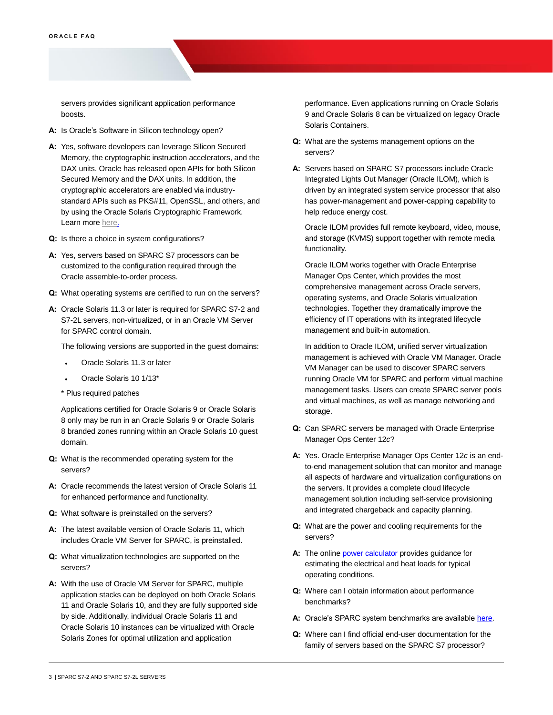servers provides significant application performance boosts.

- **A:** Is Oracle's Software in Silicon technology open?
- **A:** Yes, software developers can leverage Silicon Secured Memory, the cryptographic instruction accelerators, and the DAX units. Oracle has released open APIs for both Silicon Secured Memory and the DAX units. In addition, the cryptographic accelerators are enabled via industry- standard APIs such as PKS#11, OpenSSL, and others, and by using the Oracle Solaris Cryptographic Framework. Learn more [here.](https://community.oracle.com/tech/developers/discussion/4462270/introduction-to-stream-processing-using-the-dax-api)
- **Q:** Is there a choice in system configurations?
- **A:** Yes, servers based on SPARC S7 processors can be customized to the configuration required through the Oracle assemble-to-order process.
- **Q:** What operating systems are certified to run on the servers?
- **A:** Oracle Solaris 11.3 or later is required for SPARC S7-2 and S7-2L servers, non-virtualized, or in an Oracle VM Server for SPARC control domain.

The following versions are supported in the guest domains:

- Oracle Solaris 11.3 or later
- Oracle Solaris 10 1/13\*
- \* Plus required patches

 Applications certified for Oracle Solaris 9 or Oracle Solaris 8 only may be run in an Oracle Solaris 9 or Oracle Solaris 8 branded zones running within an Oracle Solaris 10 guest domain.

- **Q:** What is the recommended operating system for the servers?
- **A:** Oracle recommends the latest version of Oracle Solaris 11 for enhanced performance and functionality.
- **Q:** What software is preinstalled on the servers?
- **A:** The latest available version of Oracle Solaris 11, which includes Oracle VM Server for SPARC, is preinstalled.
- **Q:** What virtualization technologies are supported on the servers?
- **A:** With the use of Oracle VM Server for SPARC, multiple application stacks can be deployed on both Oracle Solaris 11 and Oracle Solaris 10, and they are fully supported side by side. Additionally, individual Oracle Solaris 11 and Oracle Solaris 10 instances can be virtualized with Oracle Solaris Zones for optimal utilization and application

 performance. Even applications running on Oracle Solaris 9 and Oracle Solaris 8 can be virtualized on legacy Oracle Solaris Containers.

- **Q:** What are the systems management options on the servers?
- **A:** Servers based on SPARC S7 processors include Oracle Integrated Lights Out Manager (Oracle ILOM), which is driven by an integrated system service processor that also has power-management and power-capping capability to help reduce energy cost.

 Oracle ILOM provides full remote keyboard, video, mouse, and storage (KVMS) support together with remote media functionality.

 Oracle ILOM works together with Oracle Enterprise Manager Ops Center, which provides the most comprehensive management across Oracle servers, operating systems, and Oracle Solaris virtualization technologies. Together they dramatically improve the efficiency of IT operations with its integrated lifecycle management and built-in automation.

 In addition to Oracle ILOM, unified server virtualization management is achieved with Oracle VM Manager. Oracle VM Manager can be used to discover SPARC servers running Oracle VM for SPARC and perform virtual machine management tasks. Users can create SPARC server pools and virtual machines, as well as manage networking and storage.

- **Q:** Can SPARC servers be managed with Oracle Enterprise Manager Ops Center 12*c*?
- **A:** Yes. Oracle Enterprise Manager Ops Center 12*c* is an end- to-end management solution that can monitor and manage all aspects of hardware and virtualization configurations on the servers. It provides a complete cloud lifecycle management solution including self-service provisioning and integrated chargeback and capacity planning.
- **Q:** What are the power and cooling requirements for the servers?
- A: The online **power calculator** provides guidance for estimating the electrical and heat loads for typical operating conditions.
- **Q:** Where can I obtain information about performance benchmarks?
- **A:** Oracle's SPARC system benchmarks are available [here.](https://blogs.oracle.com/bestperf/)
- **Q:** Where can I find official end-user documentation for the family of servers based on the SPARC S7 processor?